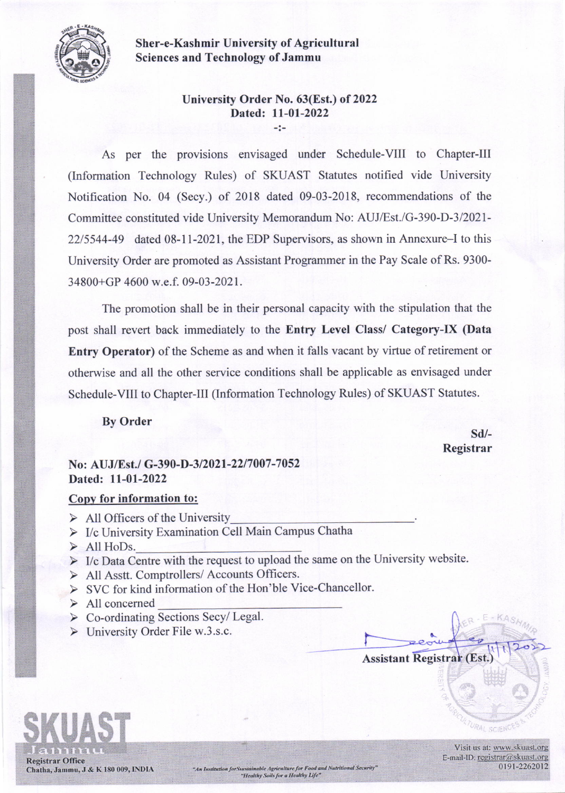

Sher-e-Kashmir University of Agricultural Sciences and Technology of Jammu

## University Order No. 63(Est.) of 2022 Dated: 11-01-2022

-i-

As per the provisions envisaged under Schedule-VIII to Chapter-Ill (Information Technology Rules) of SKUAST Statutes notified vide University Notification No. 04 (Secy.) of 2018 dated 09-03-2018, recommendations of the Committee constituted vide University Memorandum No: AUJ/EsI./G-390-D-3/2021- 22/5544-49 dated 08-11-2021, the EDP Supervisors, as shown in Annexure-I to this University Order are promoted as Assistant Programmer in the Pay Scale of Rs. 9300- 34800+GP 4600 w.e.f. 09-03-2021.

The promotion shall be in their personal capacity with the stipulation that the post shall revert back immediately to the Entry Level Class/ Category-IX (Data Entry Operator) of the Scheme as and when it falls vacant by virtue of retirement or otherwise and all the other service conditions shall be applicable as envisaged under Schedule-VIII to Chapter-III (Information Technology Rules) of SKUAST Statutes.

By Order

sd/- Registrar

## No: AUJ/Est./ G-390-D-3/2021-22/7007-7052 Dated: 11-01-2022

## Copv for information to:

- $\triangleright$  All Officers of the University
- $\triangleright$  I/c University Examination Cell Main Campus Chatha
- ) All HoDs.
- $\triangleright$  I/c Data Centre with the request to upload the same on the University website.
- F All Asstt. Comptrollers/ Accounts Officers.
- > SVC for kind information of the Hon'ble Vice-Chancellor.
- ) All concemed
- $\triangleright$  Co-ordinating Sections Secy/ Legal.
- $\triangleright$  University Order File w.3.s.c.





Visit us at: www.skuast.org E-mail-ID: registrar@skuast.org 0191-2262012

**MAAL SCIENC**